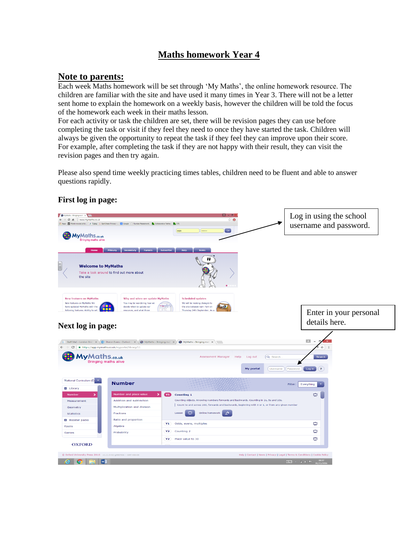## **Maths homework Year 4**

## **Note to parents:**

Each week Maths homework will be set through 'My Maths', the online homework resource. The children are familiar with the site and have used it many times in Year 3. There will not be a letter sent home to explain the homework on a weekly basis, however the children will be told the focus of the homework each week in their maths lesson.

For each activity or task the children are set, there will be revision pages they can use before completing the task or visit if they feel they need to once they have started the task. Children will always be given the opportunity to repeat the task if they feel they can improve upon their score. For example, after completing the task if they are not happy with their result, they can visit the revision pages and then try again.

Please also spend time weekly practicing times tables, children need to be fluent and able to answer questions rapidly.



## **First log in page:**